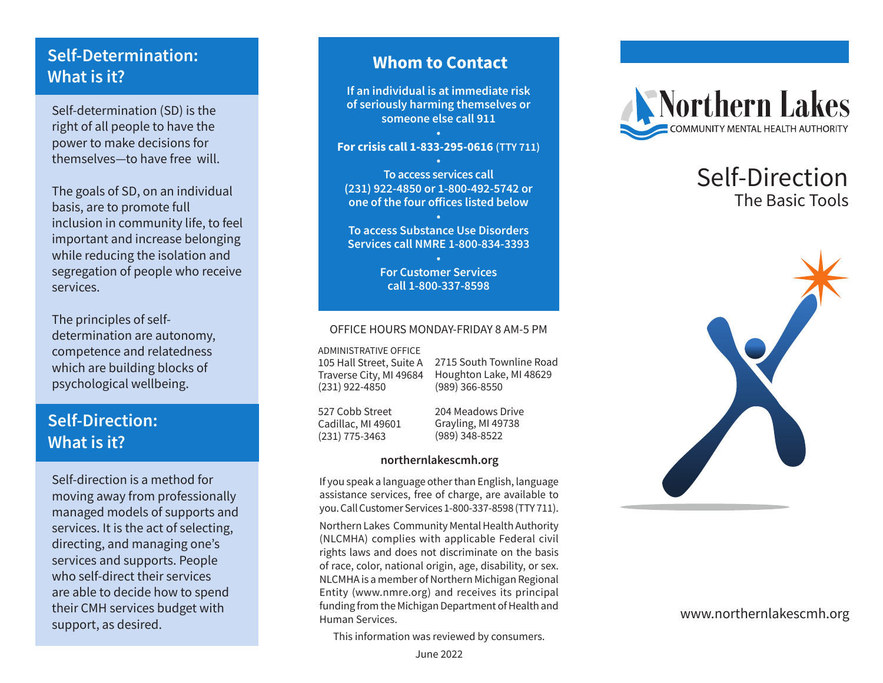# **Self-Determination: What is it?**

Self-determination (SD) is the right of all people to have the power to make decisions for themselves—to have free will.

The goals of SD, on an individual basis, are to promote full inclusion in community life, to feel important and increase belonging while reducing the isolation and segregation of people who receive services.

The principles of selfdetermination are autonomy, competence and relatedness which are building blocks of psychological wellbeing.

# **Self-Direction: What is it?**

Self-direction is a method for moving away from professionally managed models of supports and services. It is the act of selecting, directing, and managing one's services and supports. People who self-direct their services are able to decide how to spend their CMH services budget with support, as desired.

## **Whom to Contact**

**If an individual is at immediate risk of seriously harming themselves or someone else call 911**

### **• For crisis call 1-833-295-0616 (TTY 711) •**

**To access services call (231) 922-4850 or 1-800-492-5742 or one of the four offices listed below**

**• To access Substance Use Disorders Services call NMRE 1-800-834-3393**

> **• For Customer Services call 1-800-337-8598**

### OFFICE HOURS MONDAY-FRIDAY 8 AM-5 PM

ADMINISTRATIVE OFFICE

105 Hall Street, Suite A Traverse City, MI 49684 (231) 922-4850

2715 South Townline Road Houghton Lake, MI 48629 (989) 366-8550

527 Cobb Street Cadillac, MI 49601 (231) 775-3463

204 Meadows Drive Grayling, MI 49738 (989) 348-8522

### **northernlakescmh.org**

If you speak a language other than English, language assistance services, free of charge, are available to you. Call Customer Services 1-800-337-8598 (TTY 711).

Northern Lakes Community Mental Health Authority (NLCMHA) complies with applicable Federal civil rights laws and does not discriminate on the basis of race, color, national origin, age, disability, or sex. NLCMHA is a member of Northern Michigan Regional Entity (www.nmre.org) and receives its principal funding from the Michigan Department of Health and Human Services.

This information was reviewed by consumers.



# Self-Direction The Basic Tools



### www.northernlakescmh.org